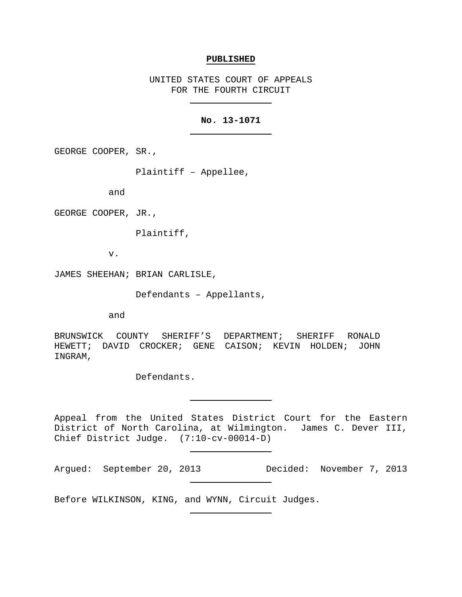#### **PUBLISHED**

UNITED STATES COURT OF APPEALS FOR THE FOURTH CIRCUIT

# **No. 13-1071**

GEORGE COOPER, SR.,

Plaintiff – Appellee,

and

GEORGE COOPER, JR.,

Plaintiff,

v.

JAMES SHEEHAN; BRIAN CARLISLE,

Defendants – Appellants,

and

BRUNSWICK COUNTY SHERIFF'S DEPARTMENT; SHERIFF RONALD HEWETT; DAVID CROCKER; GENE CAISON; KEVIN HOLDEN; JOHN INGRAM,

Defendants.

Appeal from the United States District Court for the Eastern District of North Carolina, at Wilmington. James C. Dever III, Chief District Judge. (7:10-cv-00014-D)

Argued: September 20, 2013 Decided: November 7, 2013

Before WILKINSON, KING, and WYNN, Circuit Judges.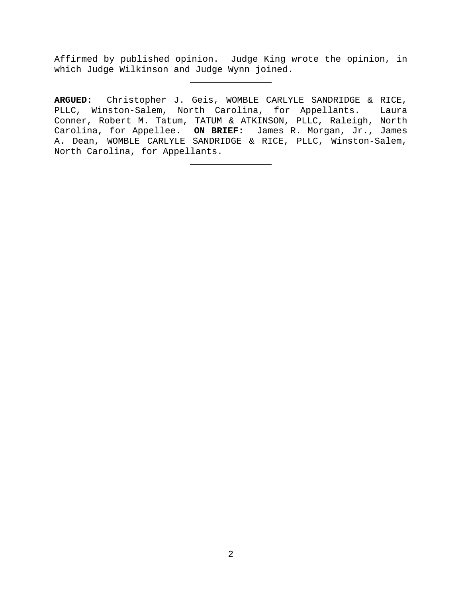Affirmed by published opinion. Judge King wrote the opinion, in which Judge Wilkinson and Judge Wynn joined.

**ARGUED:** Christopher J. Geis, WOMBLE CARLYLE SANDRIDGE & RICE, PLLC, Winston-Salem, North Carolina, for Appellants. Laura Conner, Robert M. Tatum, TATUM & ATKINSON, PLLC, Raleigh, North Carolina, for Appellee. **ON BRIEF:** James R. Morgan, Jr., James A. Dean, WOMBLE CARLYLE SANDRIDGE & RICE, PLLC, Winston-Salem, North Carolina, for Appellants.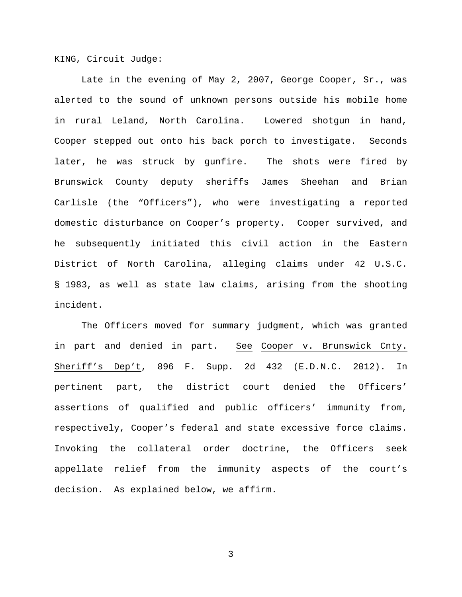KING, Circuit Judge:

Late in the evening of May 2, 2007, George Cooper, Sr., was alerted to the sound of unknown persons outside his mobile home in rural Leland, North Carolina. Lowered shotgun in hand, Cooper stepped out onto his back porch to investigate. Seconds later, he was struck by gunfire. The shots were fired by Brunswick County deputy sheriffs James Sheehan and Brian Carlisle (the "Officers"), who were investigating a reported domestic disturbance on Cooper's property. Cooper survived, and he subsequently initiated this civil action in the Eastern District of North Carolina, alleging claims under 42 U.S.C. § 1983, as well as state law claims, arising from the shooting incident.

The Officers moved for summary judgment, which was granted in part and denied in part. See Cooper v. Brunswick Cnty. Sheriff's Dep't, 896 F. Supp. 2d 432 (E.D.N.C. 2012). In pertinent part, the district court denied the Officers' assertions of qualified and public officers' immunity from, respectively, Cooper's federal and state excessive force claims. Invoking the collateral order doctrine, the Officers seek appellate relief from the immunity aspects of the court's decision. As explained below, we affirm.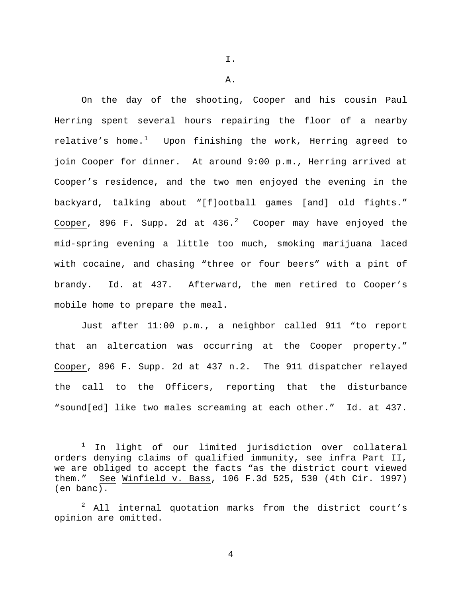I.

A.

On the day of the shooting, Cooper and his cousin Paul Herring spent several hours repairing the floor of a nearby relative's home. $^1$  $^1$  Upon finishing the work, Herring agreed to join Cooper for dinner. At around 9:00 p.m., Herring arrived at Cooper's residence, and the two men enjoyed the evening in the backyard, talking about "[f]ootball games [and] old fights."  $Cooper$ , 896 F. Supp. [2](#page-3-1)d at 436.<sup>2</sup> Cooper may have enjoyed the mid-spring evening a little too much, smoking marijuana laced with cocaine, and chasing "three or four beers" with a pint of brandy. Id. at 437. Afterward, the men retired to Cooper's mobile home to prepare the meal.

Just after 11:00 p.m., a neighbor called 911 "to report that an altercation was occurring at the Cooper property." Cooper, 896 F. Supp. 2d at 437 n.2. The 911 dispatcher relayed the call to the Officers, reporting that the disturbance "sound[ed] like two males screaming at each other." Id. at 437.

<span id="page-3-0"></span> $1$  In light of our limited jurisdiction over collateral orders denying claims of qualified immunity, see infra Part II, we are obliged to accept the facts "as the district court viewed them." See Winfield v. Bass, 106 F.3d 525, 530 (4th Cir. 1997) (en banc).

<span id="page-3-1"></span> $2$  All internal quotation marks from the district court's opinion are omitted.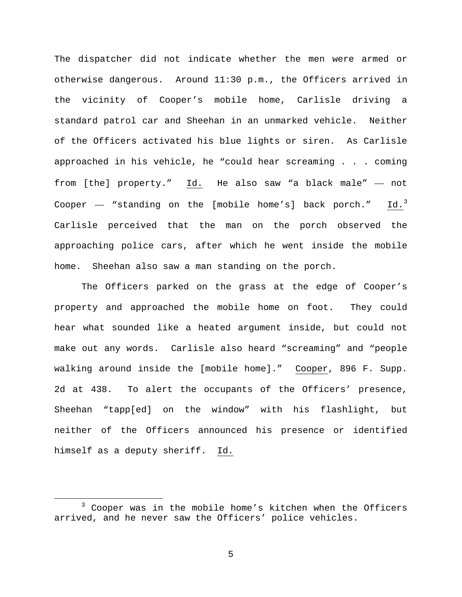The dispatcher did not indicate whether the men were armed or otherwise dangerous. Around 11:30 p.m., the Officers arrived in the vicinity of Cooper's mobile home, Carlisle driving a standard patrol car and Sheehan in an unmarked vehicle. Neither of the Officers activated his blue lights or siren. As Carlisle approached in his vehicle, he "could hear screaming . . . coming from [the] property." Id. He also saw "a black male" — not Cooper  $-$  "standing on the [mobile home's] back porch." Id.<sup>[3](#page-4-0)</sup> Carlisle perceived that the man on the porch observed the approaching police cars, after which he went inside the mobile home. Sheehan also saw a man standing on the porch.

The Officers parked on the grass at the edge of Cooper's property and approached the mobile home on foot. They could hear what sounded like a heated argument inside, but could not make out any words. Carlisle also heard "screaming" and "people walking around inside the [mobile home]." Cooper, 896 F. Supp. 2d at 438. To alert the occupants of the Officers' presence, Sheehan "tapp[ed] on the window" with his flashlight, but neither of the Officers announced his presence or identified himself as a deputy sheriff. Id.

<span id="page-4-0"></span> <sup>3</sup> Cooper was in the mobile home's kitchen when the Officers arrived, and he never saw the Officers' police vehicles.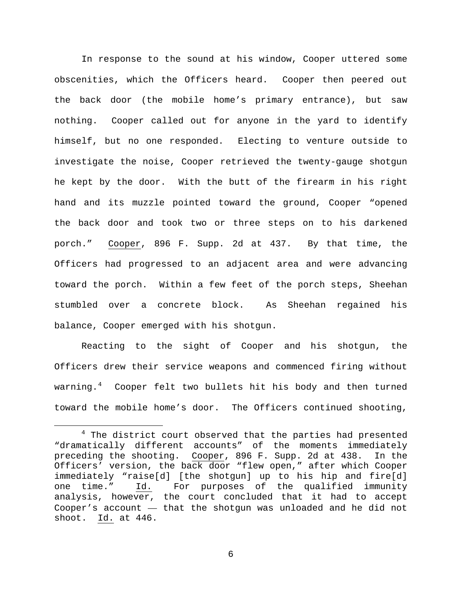In response to the sound at his window, Cooper uttered some obscenities, which the Officers heard. Cooper then peered out the back door (the mobile home's primary entrance), but saw nothing. Cooper called out for anyone in the yard to identify himself, but no one responded. Electing to venture outside to investigate the noise, Cooper retrieved the twenty-gauge shotgun he kept by the door. With the butt of the firearm in his right hand and its muzzle pointed toward the ground, Cooper "opened the back door and took two or three steps on to his darkened porch." Cooper, 896 F. Supp. 2d at 437. By that time, the Officers had progressed to an adjacent area and were advancing toward the porch. Within a few feet of the porch steps, Sheehan stumbled over a concrete block. As Sheehan regained his balance, Cooper emerged with his shotgun.

Reacting to the sight of Cooper and his shotgun, the Officers drew their service weapons and commenced firing without warning.[4](#page-5-0) Cooper felt two bullets hit his body and then turned toward the mobile home's door. The Officers continued shooting,

<span id="page-5-0"></span> $4$  The district court observed that the parties had presented "dramatically different accounts" of the moments immediately preceding the shooting. Cooper, 896 F. Supp. 2d at 438. In the Officers' version, the back door "flew open," after which Cooper immediately "raise[d] [the shotgun] up to his hip and fire[d]<br>one time." Id. For purposes of the qualified immunity Id. For purposes of the qualified immunity analysis, however, the court concluded that it had to accept Cooper's account — that the shotgun was unloaded and he did not shoot. Id. at 446.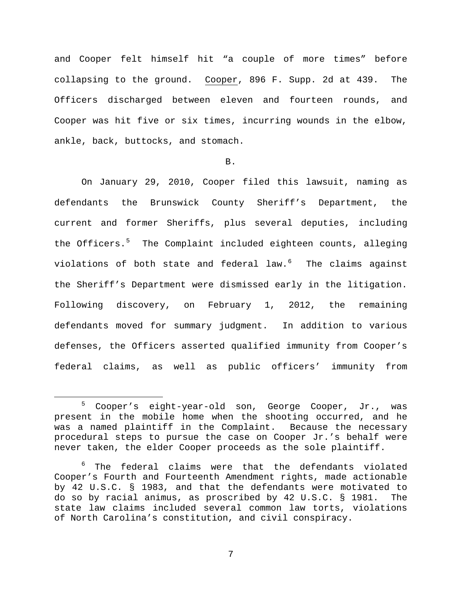and Cooper felt himself hit "a couple of more times" before collapsing to the ground. Cooper, 896 F. Supp. 2d at 439. The Officers discharged between eleven and fourteen rounds, and Cooper was hit five or six times, incurring wounds in the elbow, ankle, back, buttocks, and stomach.

#### B.

On January 29, 2010, Cooper filed this lawsuit, naming as defendants the Brunswick County Sheriff's Department, the current and former Sheriffs, plus several deputies, including the Officers.<sup>[5](#page-6-0)</sup> The Complaint included eighteen counts, alleging violations of both state and federal law.[6](#page-6-1) The claims against the Sheriff's Department were dismissed early in the litigation. Following discovery, on February 1, 2012, the remaining defendants moved for summary judgment. In addition to various defenses, the Officers asserted qualified immunity from Cooper's federal claims, as well as public officers' immunity from

<span id="page-6-0"></span> <sup>5</sup> Cooper's eight-year-old son, George Cooper, Jr., was present in the mobile home when the shooting occurred, and he was a named plaintiff in the Complaint. Because the necessary procedural steps to pursue the case on Cooper Jr.'s behalf were never taken, the elder Cooper proceeds as the sole plaintiff.

<span id="page-6-1"></span> $6$  The federal claims were that the defendants violated Cooper's Fourth and Fourteenth Amendment rights, made actionable by 42 U.S.C. § 1983, and that the defendants were motivated to do so by racial animus, as proscribed by 42 U.S.C. § 1981. The state law claims included several common law torts, violations of North Carolina's constitution, and civil conspiracy.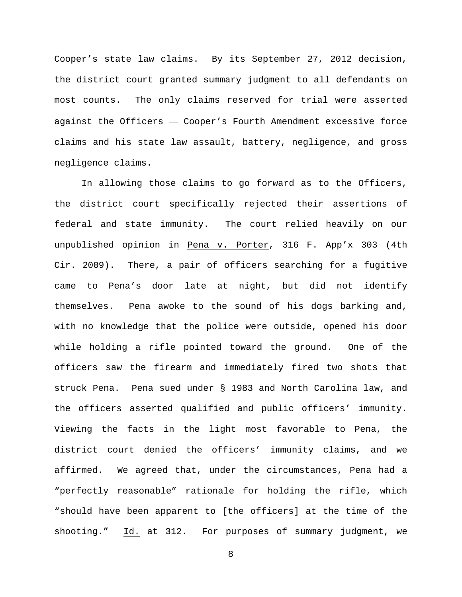Cooper's state law claims. By its September 27, 2012 decision, the district court granted summary judgment to all defendants on most counts. The only claims reserved for trial were asserted against the Officers — Cooper's Fourth Amendment excessive force claims and his state law assault, battery, negligence, and gross negligence claims.

In allowing those claims to go forward as to the Officers, the district court specifically rejected their assertions of federal and state immunity. The court relied heavily on our unpublished opinion in Pena v. Porter, 316 F. App'x 303 (4th Cir. 2009). There, a pair of officers searching for a fugitive came to Pena's door late at night, but did not identify themselves. Pena awoke to the sound of his dogs barking and, with no knowledge that the police were outside, opened his door while holding a rifle pointed toward the ground. One of the officers saw the firearm and immediately fired two shots that struck Pena. Pena sued under § 1983 and North Carolina law, and the officers asserted qualified and public officers' immunity. Viewing the facts in the light most favorable to Pena, the district court denied the officers' immunity claims, and we affirmed. We agreed that, under the circumstances, Pena had a "perfectly reasonable" rationale for holding the rifle, which "should have been apparent to [the officers] at the time of the shooting." Id. at 312. For purposes of summary judgment, we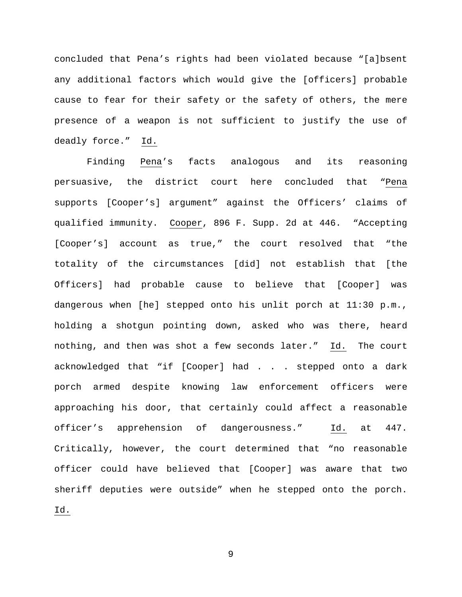concluded that Pena's rights had been violated because "[a]bsent any additional factors which would give the [officers] probable cause to fear for their safety or the safety of others, the mere presence of a weapon is not sufficient to justify the use of deadly force." Id.

Finding Pena's facts analogous and its reasoning persuasive, the district court here concluded that "Pena supports [Cooper's] argument" against the Officers' claims of qualified immunity. Cooper, 896 F. Supp. 2d at 446. "Accepting [Cooper's] account as true," the court resolved that "the totality of the circumstances [did] not establish that [the Officers] had probable cause to believe that [Cooper] was dangerous when [he] stepped onto his unlit porch at 11:30 p.m., holding a shotgun pointing down, asked who was there, heard nothing, and then was shot a few seconds later." Id. The court acknowledged that "if [Cooper] had . . . stepped onto a dark porch armed despite knowing law enforcement officers were approaching his door, that certainly could affect a reasonable officer's apprehension of dangerousness." Id. at 447. Critically, however, the court determined that "no reasonable officer could have believed that [Cooper] was aware that two sheriff deputies were outside" when he stepped onto the porch. Id.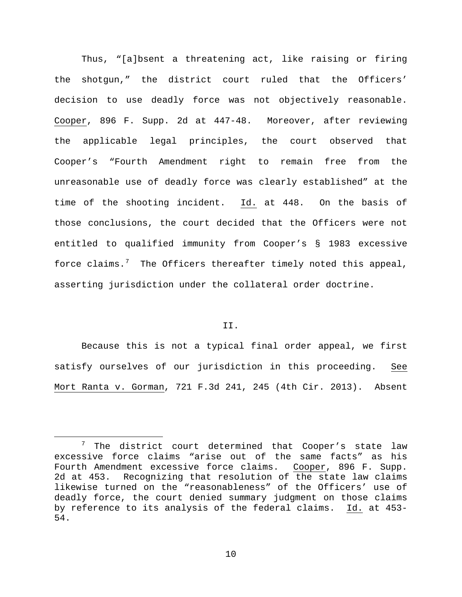Thus, "[a]bsent a threatening act, like raising or firing the shotgun," the district court ruled that the Officers' decision to use deadly force was not objectively reasonable. Cooper, 896 F. Supp. 2d at 447-48. Moreover, after reviewing the applicable legal principles, the court observed that Cooper's "Fourth Amendment right to remain free from the unreasonable use of deadly force was clearly established" at the time of the shooting incident. Id. at 448. On the basis of those conclusions, the court decided that the Officers were not entitled to qualified immunity from Cooper's § 1983 excessive force claims.<sup>[7](#page-9-0)</sup> The Officers thereafter timely noted this appeal, asserting jurisdiction under the collateral order doctrine.

### II.

Because this is not a typical final order appeal, we first satisfy ourselves of our jurisdiction in this proceeding. See Mort Ranta v. Gorman, 721 F.3d 241, 245 (4th Cir. 2013). Absent

<span id="page-9-0"></span> <sup>7</sup> The district court determined that Cooper's state law excessive force claims "arise out of the same facts" as his Fourth Amendment excessive force claims. Cooper, 896 F. Supp. 2d at 453. Recognizing that resolution of the state law claims likewise turned on the "reasonableness" of the Officers' use of deadly force, the court denied summary judgment on those claims by reference to its analysis of the federal claims. Id. at 453- 54.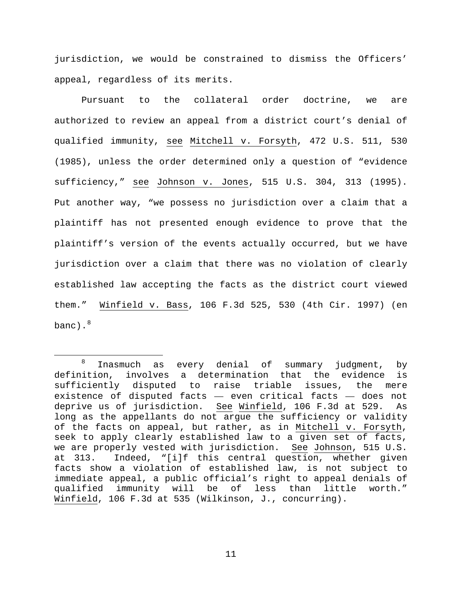jurisdiction, we would be constrained to dismiss the Officers' appeal, regardless of its merits.

Pursuant to the collateral order doctrine, we are authorized to review an appeal from a district court's denial of qualified immunity, see Mitchell v. Forsyth, 472 U.S. 511, 530 (1985), unless the order determined only a question of "evidence sufficiency," see Johnson v. Jones, 515 U.S. 304, 313 (1995). Put another way, "we possess no jurisdiction over a claim that a plaintiff has not presented enough evidence to prove that the plaintiff's version of the events actually occurred, but we have jurisdiction over a claim that there was no violation of clearly established law accepting the facts as the district court viewed them." Winfield v. Bass, 106 F.3d 525, 530 (4th Cir. 1997) (en banc). $^8$  $^8$ 

<span id="page-10-0"></span> $8$  Inasmuch as every denial of summary judgment, by definition, involves a determination that the evidence is<br>sufficiently disputed to raise triable issues, the mere sufficiently disputed to raise triable issues, existence of disputed facts — even critical facts — does not deprive us of jurisdiction. See Winfield, 106 F.3d at 529. As long as the appellants do not argue the sufficiency or validity of the facts on appeal, but rather, as in Mitchell v. Forsyth, seek to apply clearly established law to a given set of facts, we are properly vested with jurisdiction. See Johnson, 515 U.S.<br>at 313. Indeed, "[ilf this central question, whether given Indeed, "[i]f this central question, whether given facts show a violation of established law, is not subject to immediate appeal, a public official's right to appeal denials of qualified immunity will be of less than little Winfield, 106 F.3d at 535 (Wilkinson, J., concurring).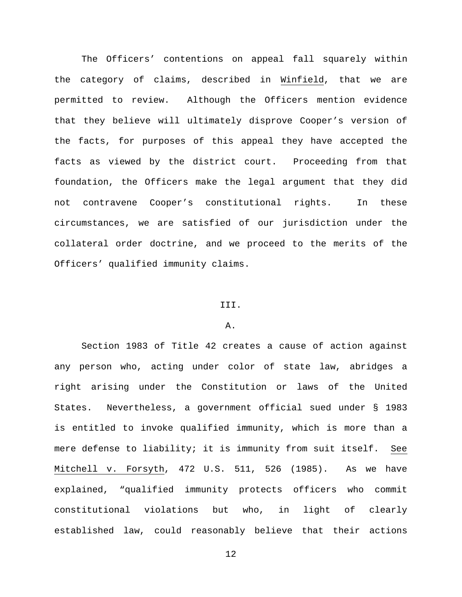The Officers' contentions on appeal fall squarely within the category of claims, described in Winfield, that we are permitted to review. Although the Officers mention evidence that they believe will ultimately disprove Cooper's version of the facts, for purposes of this appeal they have accepted the facts as viewed by the district court. Proceeding from that foundation, the Officers make the legal argument that they did not contravene Cooper's constitutional rights. In these circumstances, we are satisfied of our jurisdiction under the collateral order doctrine, and we proceed to the merits of the Officers' qualified immunity claims.

#### III.

### A.

Section 1983 of Title 42 creates a cause of action against any person who, acting under color of state law, abridges a right arising under the Constitution or laws of the United States. Nevertheless, a government official sued under § 1983 is entitled to invoke qualified immunity, which is more than a mere defense to liability; it is immunity from suit itself. See Mitchell v. Forsyth, 472 U.S. 511, 526 (1985). As we have explained, "qualified immunity protects officers who commit constitutional violations but who, in light of clearly established law, could reasonably believe that their actions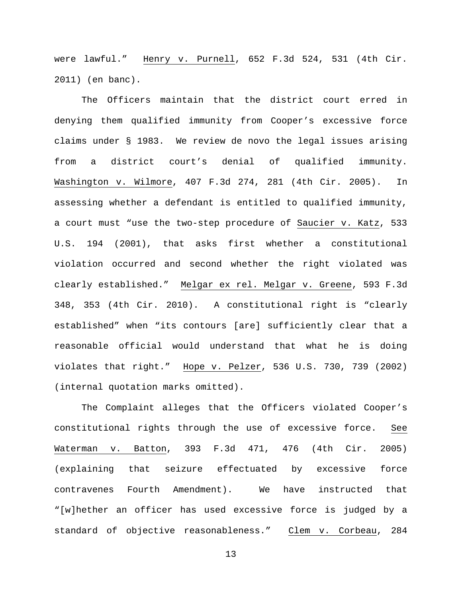were lawful." Henry v. Purnell, 652 F.3d 524, 531 (4th Cir. 2011) (en banc).

The Officers maintain that the district court erred in denying them qualified immunity from Cooper's excessive force claims under § 1983. We review de novo the legal issues arising from a district court's denial of qualified immunity. Washington v. Wilmore, 407 F.3d 274, 281 (4th Cir. 2005). In assessing whether a defendant is entitled to qualified immunity, a court must "use the two-step procedure of Saucier v. Katz, 533 U.S. 194 (2001), that asks first whether a constitutional violation occurred and second whether the right violated was clearly established." Melgar ex rel. Melgar v. Greene, 593 F.3d 348, 353 (4th Cir. 2010). A constitutional right is "clearly established" when "its contours [are] sufficiently clear that a reasonable official would understand that what he is doing violates that right." Hope v. Pelzer, 536 U.S. 730, 739 (2002) (internal quotation marks omitted).

The Complaint alleges that the Officers violated Cooper's constitutional rights through the use of excessive force. See Waterman v. Batton, 393 F.3d 471, 476 (4th Cir. 2005) (explaining that seizure effectuated by excessive force contravenes Fourth Amendment). We have instructed that "[w]hether an officer has used excessive force is judged by a standard of objective reasonableness." Clem v. Corbeau, 284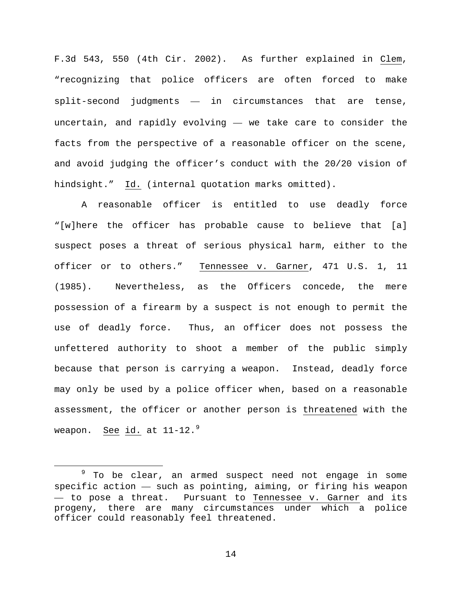F.3d 543, 550 (4th Cir. 2002). As further explained in Clem, "recognizing that police officers are often forced to make split-second judgments — in circumstances that are tense, uncertain, and rapidly evolving — we take care to consider the facts from the perspective of a reasonable officer on the scene, and avoid judging the officer's conduct with the 20/20 vision of hindsight." Id. (internal quotation marks omitted).

A reasonable officer is entitled to use deadly force "[w]here the officer has probable cause to believe that [a] suspect poses a threat of serious physical harm, either to the officer or to others." Tennessee v. Garner, 471 U.S. 1, 11 (1985). Nevertheless, as the Officers concede, the mere possession of a firearm by a suspect is not enough to permit the use of deadly force. Thus, an officer does not possess the unfettered authority to shoot a member of the public simply because that person is carrying a weapon. Instead, deadly force may only be used by a police officer when, based on a reasonable assessment, the officer or another person is threatened with the weapon. See id. at 11-12.<sup>[9](#page-13-0)</sup>

<span id="page-13-0"></span><sup>&</sup>lt;sup>9</sup> To be clear, an armed suspect need not engage in some specific action — such as pointing, aiming, or firing his weapon — to pose a threat. Pursuant to Tennessee v. Garner and its progeny, there are many circumstances under which a police officer could reasonably feel threatened.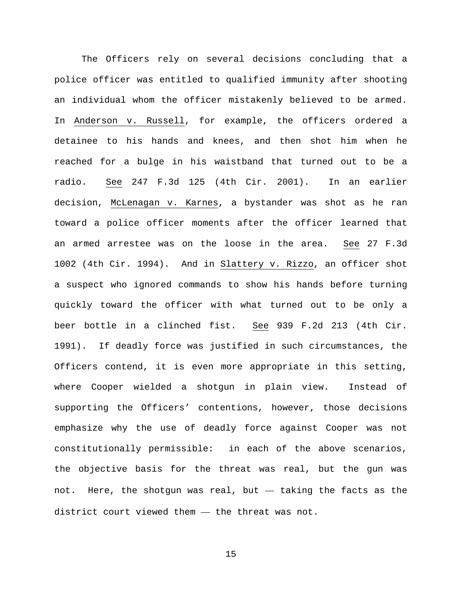The Officers rely on several decisions concluding that a police officer was entitled to qualified immunity after shooting an individual whom the officer mistakenly believed to be armed. In Anderson v. Russell, for example, the officers ordered a detainee to his hands and knees, and then shot him when he reached for a bulge in his waistband that turned out to be a radio. See 247 F.3d 125 (4th Cir. 2001). In an earlier decision, McLenagan v. Karnes, a bystander was shot as he ran toward a police officer moments after the officer learned that an armed arrestee was on the loose in the area. See 27 F.3d 1002 (4th Cir. 1994). And in Slattery v. Rizzo, an officer shot a suspect who ignored commands to show his hands before turning quickly toward the officer with what turned out to be only a beer bottle in a clinched fist. See 939 F.2d 213 (4th Cir. 1991). If deadly force was justified in such circumstances, the Officers contend, it is even more appropriate in this setting, where Cooper wielded a shotgun in plain view. Instead of supporting the Officers' contentions, however, those decisions emphasize why the use of deadly force against Cooper was not constitutionally permissible: in each of the above scenarios, the objective basis for the threat was real, but the gun was not. Here, the shotgun was real, but — taking the facts as the district court viewed them — the threat was not.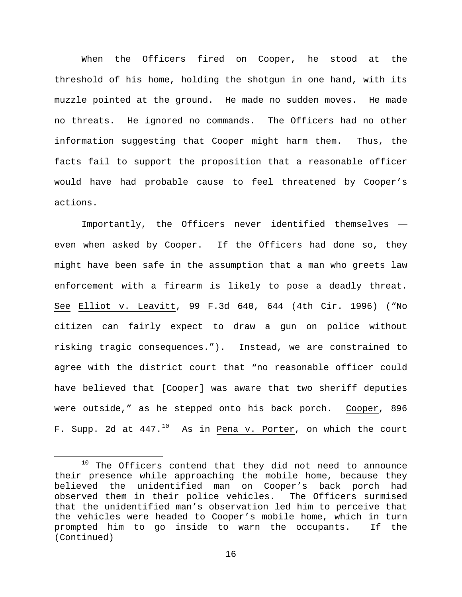When the Officers fired on Cooper, he stood at the threshold of his home, holding the shotgun in one hand, with its muzzle pointed at the ground. He made no sudden moves. He made no threats. He ignored no commands. The Officers had no other information suggesting that Cooper might harm them. Thus, the facts fail to support the proposition that a reasonable officer would have had probable cause to feel threatened by Cooper's actions.

Importantly, the Officers never identified themselves even when asked by Cooper. If the Officers had done so, they might have been safe in the assumption that a man who greets law enforcement with a firearm is likely to pose a deadly threat. See Elliot v. Leavitt, 99 F.3d 640, 644 (4th Cir. 1996) ("No citizen can fairly expect to draw a gun on police without risking tragic consequences."). Instead, we are constrained to agree with the district court that "no reasonable officer could have believed that [Cooper] was aware that two sheriff deputies were outside," as he stepped onto his back porch. Cooper, 896 F. Supp. 2d at  $447.^{10}$  $447.^{10}$  $447.^{10}$  As in Pena v. Porter, on which the court

<span id="page-15-0"></span><sup>&</sup>lt;sup>10</sup> The Officers contend that they did not need to announce their presence while approaching the mobile home, because they believed the unidentified man on Cooper's back porch had observed them in their police vehicles. The Officers surmised that the unidentified man's observation led him to perceive that the vehicles were headed to Cooper's mobile home, which in turn prompted him to go inside to warn the occupants. If the (Continued)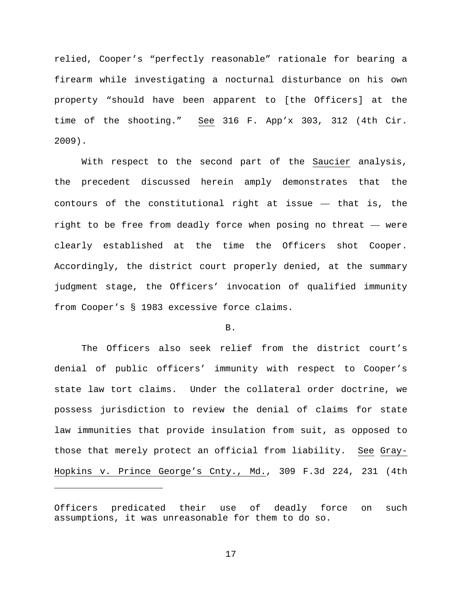relied, Cooper's "perfectly reasonable" rationale for bearing a firearm while investigating a nocturnal disturbance on his own property "should have been apparent to [the Officers] at the time of the shooting." See 316 F. App'x 303, 312 (4th Cir. 2009).

With respect to the second part of the Saucier analysis, the precedent discussed herein amply demonstrates that the contours of the constitutional right at issue — that is, the right to be free from deadly force when posing no threat — were clearly established at the time the Officers shot Cooper. Accordingly, the district court properly denied, at the summary judgment stage, the Officers' invocation of qualified immunity from Cooper's § 1983 excessive force claims.

### B.

The Officers also seek relief from the district court's denial of public officers' immunity with respect to Cooper's state law tort claims. Under the collateral order doctrine, we possess jurisdiction to review the denial of claims for state law immunities that provide insulation from suit, as opposed to those that merely protect an official from liability. See Gray-Hopkins v. Prince George's Cnty., Md., 309 F.3d 224, 231 (4th

Ĩ.

Officers predicated their use of deadly force on such assumptions, it was unreasonable for them to do so.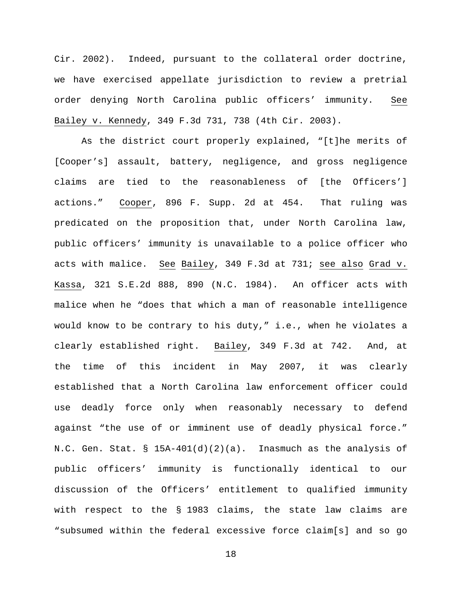Cir. 2002). Indeed, pursuant to the collateral order doctrine, we have exercised appellate jurisdiction to review a pretrial order denying North Carolina public officers' immunity. See Bailey v. Kennedy, 349 F.3d 731, 738 (4th Cir. 2003).

As the district court properly explained, "[t]he merits of [Cooper's] assault, battery, negligence, and gross negligence claims are tied to the reasonableness of [the Officers'] actions." Cooper, 896 F. Supp. 2d at 454. That ruling was predicated on the proposition that, under North Carolina law, public officers' immunity is unavailable to a police officer who acts with malice. See Bailey, 349 F.3d at 731; see also Grad v. Kassa, 321 S.E.2d 888, 890 (N.C. 1984). An officer acts with malice when he "does that which a man of reasonable intelligence would know to be contrary to his duty," i.e., when he violates a clearly established right. Bailey, 349 F.3d at 742. And, at the time of this incident in May 2007, it was clearly established that a North Carolina law enforcement officer could use deadly force only when reasonably necessary to defend against "the use of or imminent use of deadly physical force." N.C. Gen. Stat. §  $15A-401(d)(2)(a)$ . Inasmuch as the analysis of public officers' immunity is functionally identical to our discussion of the Officers' entitlement to qualified immunity with respect to the § 1983 claims, the state law claims are "subsumed within the federal excessive force claim[s] and so go